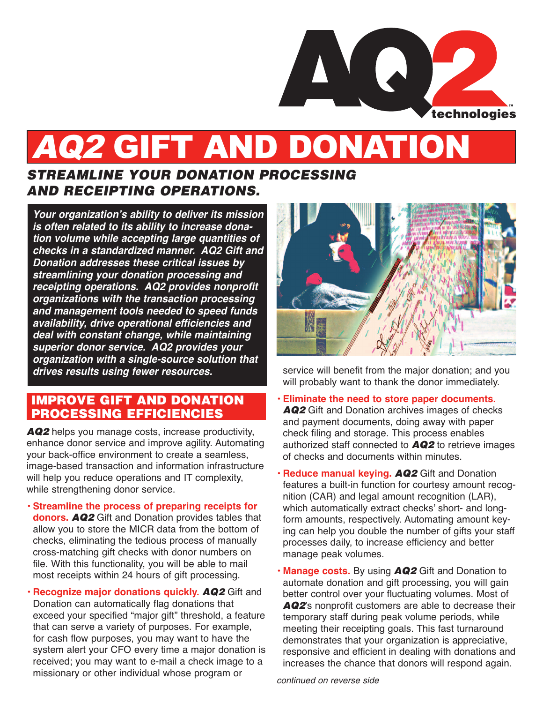

# AQ2 GIFT AND DONATION

# *STREAMLINE YOUR DONATION PROCESSING AND RECEIPTING OPERATIONS.*

**Your organization's ability to deliver its mission is often related to its ability to increase donation volume while accepting large quantities of checks in a standardized manner. AQ2 Gift and Donation addresses these critical issues by streamlining your donation processing and receipting operations. AQ2 provides nonprofit organizations with the transaction processing and management tools needed to speed funds availability, drive operational efficiencies and deal with constant change, while maintaining superior donor service. AQ2 provides your organization with a single-source solution that drives results using fewer resources.**

## **IMPROVE GIFT AND DONATION PROCESSING EFFICIENCIES**

*AQ2* helps you manage costs, increase productivity, enhance donor service and improve agility. Automating your back-office environment to create a seamless, image-based transaction and information infrastructure will help you reduce operations and IT complexity, while strengthening donor service.

- **• Streamline the process of preparing receipts for donors.** *AQ2* Gift and Donation provides tables that allow you to store the MICR data from the bottom of checks, eliminating the tedious process of manually cross-matching gift checks with donor numbers on file. With this functionality, you will be able to mail most receipts within 24 hours of gift processing.
- **Recognize major donations quickly.** *AQ2* Gift and Donation can automatically flag donations that exceed your specified "major gift" threshold, a feature that can serve a variety of purposes. For example, for cash flow purposes, you may want to have the system alert your CFO every time a major donation is received; you may want to e-mail a check image to a missionary or other individual whose program or



service will benefit from the major donation; and you will probably want to thank the donor immediately.

- **• Eliminate the need to store paper documents.** *AQ2* Gift and Donation archives images of checks and payment documents, doing away with paper check filing and storage. This process enables authorized staff connected to *AQ2* to retrieve images of checks and documents within minutes.
- **• Reduce manual keying.** *AQ2* Gift and Donation features a built-in function for courtesy amount recognition (CAR) and legal amount recognition (LAR), which automatically extract checks' short- and longform amounts, respectively. Automating amount keying can help you double the number of gifts your staff processes daily, to increase efficiency and better manage peak volumes.
- **• Manage costs.** By using *AQ2* Gift and Donation to automate donation and gift processing, you will gain better control over your fluctuating volumes. Most of *AQ2*'s nonprofit customers are able to decrease their temporary staff during peak volume periods, while meeting their receipting goals. This fast turnaround demonstrates that your organization is appreciative, responsive and efficient in dealing with donations and increases the chance that donors will respond again.

continued on reverse side